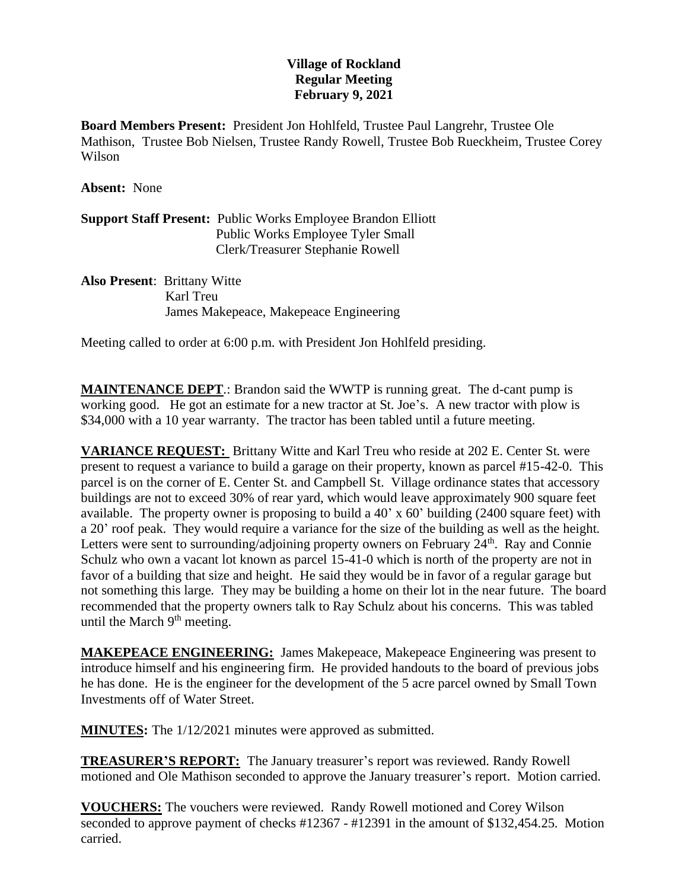## **Village of Rockland Regular Meeting February 9, 2021**

**Board Members Present:** President Jon Hohlfeld, Trustee Paul Langrehr, Trustee Ole Mathison, Trustee Bob Nielsen, Trustee Randy Rowell, Trustee Bob Rueckheim, Trustee Corey Wilson

**Absent:** None

**Support Staff Present:** Public Works Employee Brandon Elliott Public Works Employee Tyler Small Clerk/Treasurer Stephanie Rowell

**Also Present**: Brittany Witte Karl Treu James Makepeace, Makepeace Engineering

Meeting called to order at 6:00 p.m. with President Jon Hohlfeld presiding.

**MAINTENANCE DEPT**.: Brandon said the WWTP is running great. The d-cant pump is working good. He got an estimate for a new tractor at St. Joe's. A new tractor with plow is \$34,000 with a 10 year warranty. The tractor has been tabled until a future meeting.

**VARIANCE REQUEST:** Brittany Witte and Karl Treu who reside at 202 E. Center St. were present to request a variance to build a garage on their property, known as parcel #15-42-0. This parcel is on the corner of E. Center St. and Campbell St. Village ordinance states that accessory buildings are not to exceed 30% of rear yard, which would leave approximately 900 square feet available. The property owner is proposing to build a 40' x 60' building (2400 square feet) with a 20' roof peak. They would require a variance for the size of the building as well as the height. Letters were sent to surrounding/adjoining property owners on February  $24<sup>th</sup>$ . Ray and Connie Schulz who own a vacant lot known as parcel 15-41-0 which is north of the property are not in favor of a building that size and height. He said they would be in favor of a regular garage but not something this large. They may be building a home on their lot in the near future. The board recommended that the property owners talk to Ray Schulz about his concerns. This was tabled until the March  $9<sup>th</sup>$  meeting.

**MAKEPEACE ENGINEERING:** James Makepeace, Makepeace Engineering was present to introduce himself and his engineering firm. He provided handouts to the board of previous jobs he has done. He is the engineer for the development of the 5 acre parcel owned by Small Town Investments off of Water Street.

**MINUTES:** The  $1/12/2021$  minutes were approved as submitted.

**TREASURER'S REPORT:** The January treasurer's report was reviewed. Randy Rowell motioned and Ole Mathison seconded to approve the January treasurer's report. Motion carried.

**VOUCHERS:** The vouchers were reviewed. Randy Rowell motioned and Corey Wilson seconded to approve payment of checks #12367 - #12391 in the amount of \$132,454.25. Motion carried.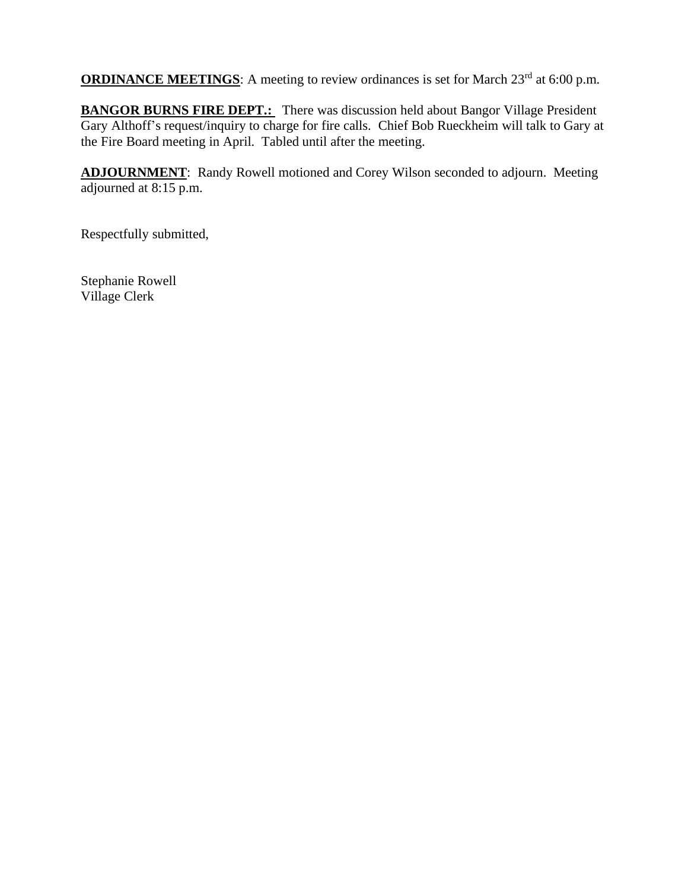**ORDINANCE MEETINGS**: A meeting to review ordinances is set for March 23<sup>rd</sup> at 6:00 p.m.

**BANGOR BURNS FIRE DEPT.:** There was discussion held about Bangor Village President Gary Althoff's request/inquiry to charge for fire calls. Chief Bob Rueckheim will talk to Gary at the Fire Board meeting in April. Tabled until after the meeting.

**ADJOURNMENT**: Randy Rowell motioned and Corey Wilson seconded to adjourn. Meeting adjourned at 8:15 p.m.

Respectfully submitted,

Stephanie Rowell Village Clerk